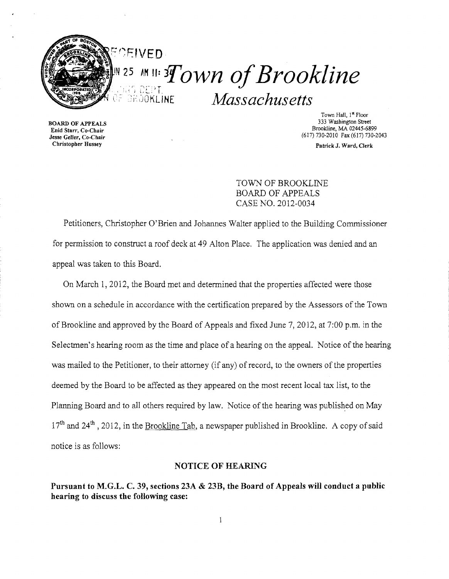

 $\frac{1}{25}$  an ii:  $Tovn$  of Brookline Massachusetts **BRÖÖKLINE** 

Enid Starr, Co-Chair

Town Hall, 1<sup>st</sup> Floor<br>333 Washington Street 333 Washington Street BOARD OF APPEALS<br>
Find Starr. Co-Chair<br>
Find Starr. Co-Chair (617) 730-2010 Fax (617) 730-2043 Jesse Geller, Co-Chair

Christopher Hussey Patrick J. Ward, Clerk

TOWN OF BROOKLINE BOARD OF APPEALS CASE NO. 2012-0034

Petitioners, Christopher O'Brien and Johannes Walter applied to the Building Commissioner for permission to construct a roof deck at 49 Alton Place. The application was denied and an appeal was taken to this Board.

On March 1, 2012, the Board met and determined that the properties affected were those shown on a schedule in accordance with the certification prepared by the Assessors of the Town of Brookline and approved by the Board of Appeals and fixed June 7, 2012, at 7:00 p.m. in the Selectmen's hearing room as the time and place of a hearing on the appeal. Notice of the hearing was mailed to the Petitioner, to their attorney (if any) of record, to the owners of the properties deemed by the Board to be affected as they appeared on the most recent local tax list, to the Planning Board and to all others required by law. Notice of the hearing was published on May  $17<sup>th</sup>$  and 24<sup>th</sup>, 2012, in the Brookline Tab, a newspaper published in Brookline. A copy of said notice is as follows:

## NOTICE OF HEARING

Pursuant to M.G.L. C. 39, sections 23A & 23B, the Board of Appeals will conduct a public hearing to discuss the following case:

 $\mathbf{1}$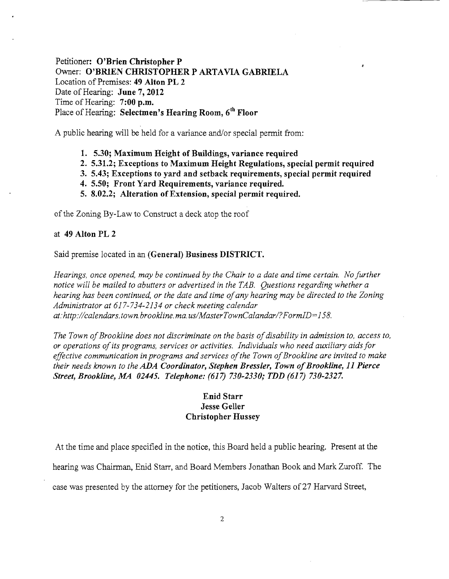Petitioner: O'Brien Christopher P Owner: O'BRIEN CHRISTOPHER P ARTAVIA GABRIELA Location of Premises: 49 Alton PL 2 Date of Hearing: June 7, 2012 Time of Hearing: 7:00 p.m. Place of Hearing: Selectmen's Hearing Room, 6<sup>th</sup> Floor

A public hearing will be held for a variance and/or special permit from:

- 1. 5.30; Maximum Height of Buildings, variance required
- 2. 5.31.2; Exceptions to Maximum Height Regulations, special permit required
- 3. 5.43; Exceptions to yard and setback requirements, special permit required
- 4. 5.50; Front Yard Requirements, variance required.
- 5. 8.02.2; Alteration of Extension, special permit required.

of the Zoning By-Law to Construct a deck atop the roof

### at 49 Alton PL 2

Said premise located in an (General) Business DISTRICT.

*Hearings, once opened, may be continued by the Chair to a date and time certain. No further notice will be mailed to abutters or advertised in the TAB. Questions regarding whether a hearing has been continued, or the date and time ofany hearing may be directed to the Zoning Administrator at* 617-734-2134 *or check meeting calendar at:http://calendars.town.brookline.ma.usIMasterTownCalandarl?FormID=158.* 

The Town of Brookline does not discriminate on the basis of disability in admission to, access to, *or operations ofits programs, services or activities. Individuals who need auxiliary aidsfor effective communication in programs and services ofthe Town ofBrookline are invited to make their needs known to the ADA Coordinator, Stephen Bressler, Town ofBrookline,* 11 *Pierce Street, Brookline, MA 02445. Telephone:* (617) *730-2330; TDD* (617) *730-2327.* 

## Enid Starr Jesse Geller Christopher Hussey

At the time and place specified in the notice, this Board held a public hearing. Present at the

hearing was Chairman, Enid Starr, and Board Members Jonathan Book and Mark Zuroff. The

case was presented by the attorney for the petitioners, Jacob Walters of27 Harvard Street,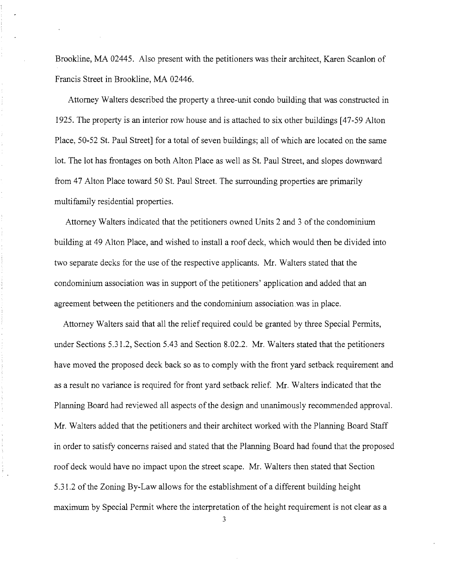Brookline, MA 02445. Also present with the petitioners was their architect, Karen Scanlon of Francis Street in Brookline, MA 02446.

Attorney Walters described the property a three-unit condo building that was constructed in 1925. The property is an interior row house and is attached to six other buildings [47-59 Alton Place, 50-52 St. Paul Street] for a total of seven buildings; all of which are located on the same lot. The lot has frontages on both Alton Place as well as St. Paul Street, and slopes downward from 47 Alton Place toward 50 St. Paul Street. The surrounding properties are primarily multifamily residential properties.

ĵ.

Attorney Walters indicated that the petitioners owned Units 2 and 3 of the condominium building at 49 Alton Place, and wished to install a roof deck, which would then be divided into two separate decks for the use of the respective applicants. Mr. Walters stated that the condominium association was in support of the petitioners' application and added that an agreement between the petitioners and the condominium association was in place.

Attorney Walters said that all the relief required could be granted by three Special Permits, under Sections 5.31.2, Section 5.43 and Section 8.02.2. Mr. Walters stated that the petitioners have moved the proposed deck back so as to comply with the front yard setback requirement and as a result no variance is required for front yard setback relief. Mr. Walters indicated that the Planning Board had reviewed all aspects of the design and unanimously recommended approval. Mr. Walters added that the petitioners and their architect worked with the Planning Board Staff in order to satisfy concerns raised and stated that the Planning Board had found that the proposed roof deck would have no impact upon the street scape. Mr. Walters then stated that Section 5.31.2 of the Zoning By-Law allows for the establishment of a different building height maximum by Special Permit where the interpretation of the height requirement is not clear as a

3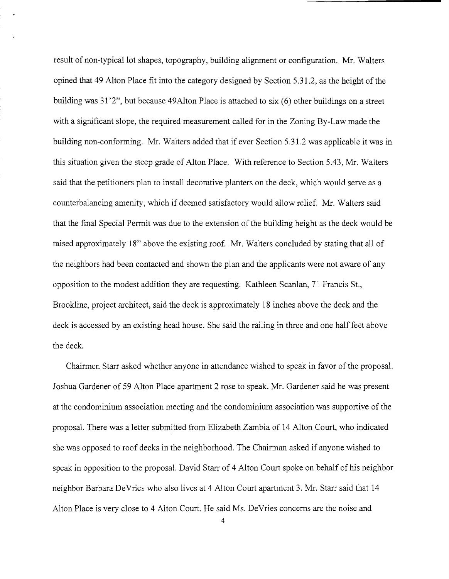result of non-typical lot shapes, topography, building alignment or configuration. Mr. Walters opined that 49 Alton Place fit into the category designed by Section 5.31.2, as the height of the building was 31 '2", but because 49Alton Place is attached to six (6) other buildings on a street with a significant slope, the required measurement called for in the Zoning By-Law made the building non-conforming. Mr. Walters added that if ever Section 5.31.2 was applicable it was in this situation given the steep grade of Alton Place. With reference to Section 5.43, Mr. Walters said that the petitioners plan to install decorative planters on the deck, which would serve as a counterbalancing amenity, which if deemed satisfactory would allow relief. Mr. Walters said that the final Special Permit was due to the extension of the building height as the deck would be raised approximately 18" above the existing roof. Mr. Walters concluded by stating that all of the neighbors had been contacted and shown the plan and the applicants were not aware of any opposition to the modest addition they are requesting. Kathleen Scanlan, 71 Francis St., Brookline, project architect, said the deck is approximately 18 inches above the deck and the deck is accessed by an existing head house. She said the railing in three and one half feet above the deck.

Chairmen Starr asked whether anyone in attendance wished to speak in favor of the proposal. Joshua Gardener of 59 Alton Place apartment 2 rose to speak. Mr. Gardener said he was present at the condominium association meeting and the condominium association was supportive of the proposal. There was a letter submitted from Elizabeth Zambia of 14 Alton Court, who indicated she was opposed to roof decks in the neighborhood. The Chairman asked if anyone wished to speak in opposition to the proposal. David Starr of 4 Alton Court spoke on behalf of his neighbor neighbor Barbara DeVries who also lives at 4 Alton Court apartment 3. Mr. Starr said that 14 Alton Place is very close to 4 Alton Court. He said Ms. DeVries concerns are the noise and

4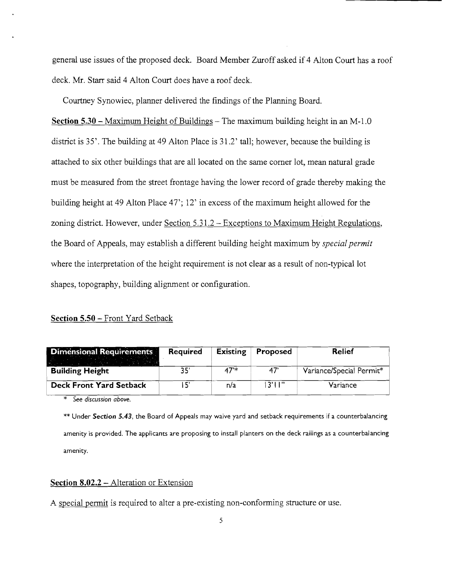general use issues of the proposed deck. Board Member Zuroff asked if 4 Alton Court has a roof deck. Mr. Starr said 4 Alton Court does have a roof deck.

Courtney Synowiec, planner delivered the findings of the Planning Board.

Section  $5.30$  – Maximum Height of Buildings – The maximum building height in an M-1.0 district is 35'. The building at 49 Alton Place is 31.2' tall; however, because the building is attached to six other buildings that are all located on the same comer lot, mean natural grade must be measured from the street frontage having the lower record of grade thereby making the building height at 49 Alton Place 47'; 12' in excess of the maximum height allowed for the zoning district. However, under Section 5.31.2 – Exceptions to Maximum Height Regulations, the Board of Appeals, may establish a different building height maximum by *special permit*  where the interpretation of the height requirement is not clear as a result of non-typical lot shapes, topography, building alignment or configuration.

# Section 5.50 - Front Yard Setback

| <b>Dimensional Requirements</b> | Required | <b>Existing</b> | Proposed | Relief                   |
|---------------------------------|----------|-----------------|----------|--------------------------|
| <b>Building Height</b>          | 35'      | $47*$           | 47       | Variance/Special Permit* |
| <b>Deck Front Yard Setback</b>  |          | n/a             | 13'11''  | Variance                 |

\* *See discussion above.* 

\*\* Under *Section* 5.43, the Board of Appeals may waive yard and setback requirements if a counterbalancing amenity is provided. The applicants are proposing to install planters on the deck railings as a counterbalancing amenity.

#### Section 8.02.2 – Alteration or Extension

A special permit is required to alter a pre-existing non-conforming structure or use.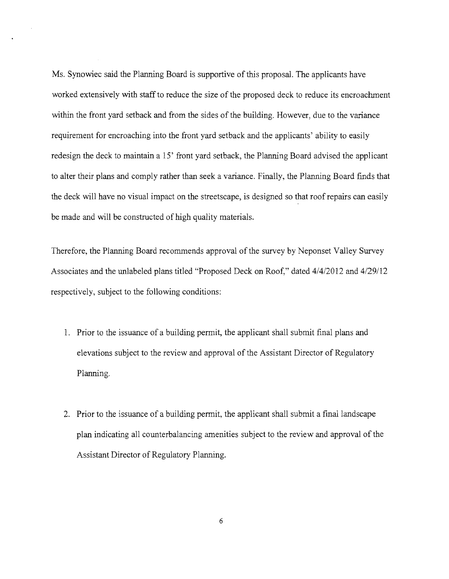Ms. Synowiec said the Planning Board is supportive of this proposal. The applicants have worked extensively with staff to reduce the size of the proposed deck to reduce its encroachment within the front yard setback and from the sides of the building. However, due to the variance requirement for encroaching into the front yard setback and the applicants' ability to easily redesign the deck to maintain a 15' front yard setback, the Planning Board advised the applicant to alter their plans and comply rather than seek a variance. Finally, the Planning Board fmds that the deck will have no visual impact on the streetscape, is designed so that roof repairs can easily be made and will be constructed of high quality materials.

Therefore, the Planning Board recommends approval of the survey by Neponset Valley Survey Associates and the unlabeled plans titled "Proposed Deck on Roof," dated 4/4/2012 and 4/29/12 respectively, subject to the following conditions:

- 1. Prior to the issuance of a building permit, the applicant shall submit final plans and elevations subject to the review and approval of the Assistant Director of Regulatory Planning.
- 2. Prior to the issuance of a building permit, the applicant shall submit a final landscape plan indicating all counterbalancing amenities subject to the review and approval of the Assistant Director of Regulatory Planning.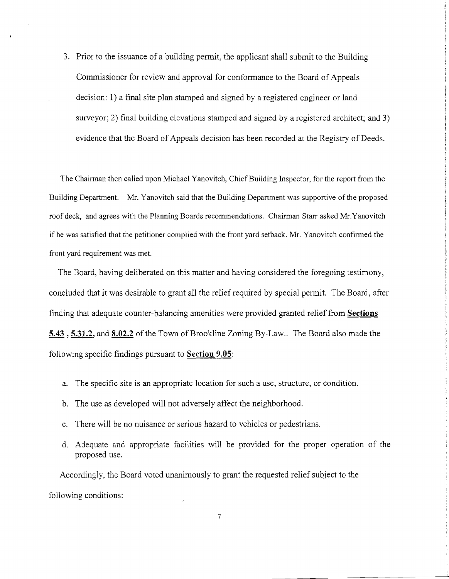3. Prior to the issuance of a building permit, the applicant shall submit to the Building Commissioner for review and approval for conformance to the Board of Appeals decision: 1) a final site plan stamped and signed by a registered engineer or land surveyor; 2) final building elevations stamped and signed by a registered architect; and 3) evidence that the Board of Appeals decision has been recorded at the Registry of Deeds.

The Chairman then called upon Michael Yanovitch, Chief Building Inspector, for the report from the Building Department. Mr. Yanovitch said that the Building Department was supportive of the proposed roof deck, and agrees with the Planning Boards recommendations. Chairman Starr asked Mr. Yanovitch ifhe was satisfied that the petitioner complied with the front yard setback. Mr. Yanovitch confirmed the front yard requirement was met.

The Board, having deliberated on this matter and having considered the foregoing testimony, concluded that it was desirable to grant all the relief required by special permit. The Board, after finding that adequate counter-balancing amenities were provided granted relief from **Sections**  5.43, 5.31.2, and 8.02.2 of the Town of Brookline Zoning By-Law.. The Board also made the following specific findings pursuant to **Section** 9.05:

- a. The specific site is an appropriate location for such a use, structure, or condition.
- b. The use as developed will not adversely affect the neighborhood.
- c. There will be no nuisance or serious hazard to vehicles or pedestrians.
- d. Adequate and appropriate facilities will be provided for the proper operation of the proposed use.

Accordingly, the Board voted unanimously to grant the requested relief subject to the following conditions:

7